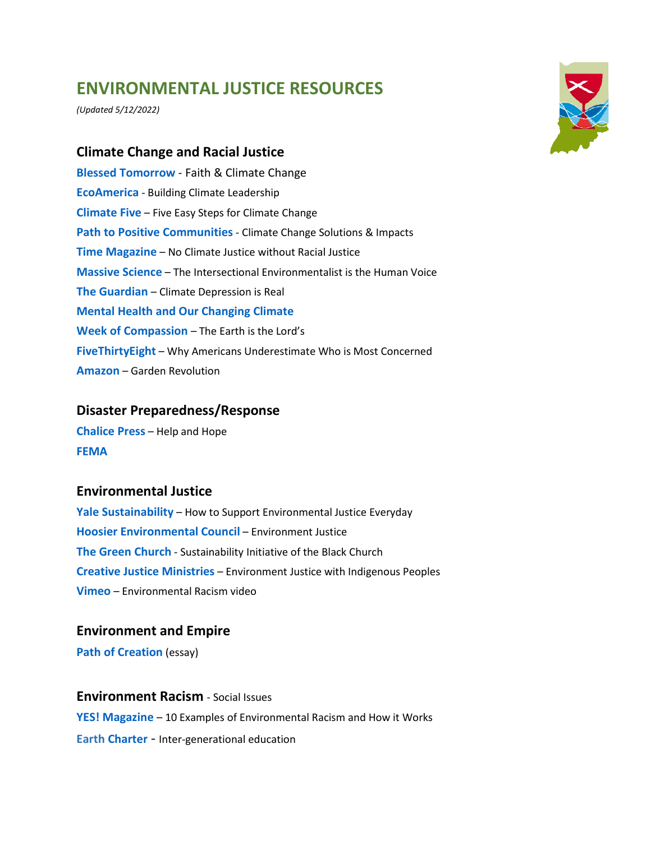# **ENVIRONMENTAL JUSTICE RESOURCES**

*(Updated 5/12/2022)*

## **Climate Change and Racial Justice**

**Blessed Tomorrow** - Faith & Climate Change **[EcoAmerica](http://ecoamerica.org/)** - Building Climate Leadership **[Climate Five](https://www.climatefive.com/)** – Five Easy Steps for Climate Change **[Path to Positive Communities](https://pathtopositive.org/)** - [Climate Change Solutions & Impacts](https://pathtopositive.org/)  **[Time Magazine](https://time.com/6017907/climate-emergency-racial-justice/?utm_campaign=wridigest&utm_source=wridigest-2021-5-4&utm_medium=email&utm_content=title)** – No Climate Justice without Racial Justice **[Massive Science](https://massivesci.com/articles/intersectional-environmentalist-sabs-katz-interview/)** – The Intersectional Environmentalist is the Human Voice **[The Guardian](https://www.theguardian.com/commentisfree/2021/nov/04/climate-depression-youth-crisis-world-leaders)** – Climate Depression is Real **[Mental Health and Our Changing Climate](https://drive.google.com/file/d/1OiPg8aBvwTanlqxOiicNPPyf5ythTEzK/view) Week [of Compassion](https://www.weekofcompassion.org/stories/the-earth-is-the-lords-reflections-on-the-un-climate-change-conference)** – The Earth is the Lord's **[FiveThirtyEight](https://fivethirtyeight.com/features/why-many-americans-underestimate-who-is-most-concerned-about-the-environment/)** – Why Americans Underestimate Who is Most Concerned **[Amazon](https://www.amazon.com/Garden-Revolution-Landscapes-Source-Environmental/dp/1604696168/ref=sr_1_1?hvlocphy=100961&hvnetw=o&inf_contact_key=de5571b37983faae5462646638e80398861a5a2ad116154286d146aa06e73020&keywords=garden+revolution&hvadid=84044028105162&hvbmt=bp&qid=1648057586&hydadcr=15056_10497743&hvdev=c&hvqmt=p&hvtargid=kwd-84044323054741%3Aloc-190&adgrpid=1344703294376733&sr=8-1)** – Garden Revolution

## **Disaster Preparedness/Response**

**[Chalice Press](https://chalicepress.com/products/help-and-hope)** – Help and Hope **[FEMA](https://www.fema.gov/)**

#### **Environmental Justice**

**[Yale Sustainability](https://sustainability.yale.edu/blog/how-support-environmental-justice-everyday)** – How to Support Environmental Justice Everyday **[Hoosier Environmental Council](https://www.hecweb.org/issues/environmental-health-justice/environmental-justice/)** – Environment Justice **[The Green Church](https://www.greenthechurch.org/our-mission)** - Sustainability Initiative of the Black Church **[Creative Justice Ministries](https://www.creationjustice.org/indigenous.html?eType=EmailBlastContent&eId=433b24fe-c329-432c-8dd2-97ece1e7d45c)** – Environment Justice with Indigenous Peoples **[Vimeo](https://vimeo.com/641607432)** – Environmental Racism video

### **Environment and Empire**

**Path of Creation** (essay)

**Environment Racism** - Social Issues **[YES! Magazine](https://www.yesmagazine.org/environment/2021/04/22/environmental-racism-examples)** – 10 Examples of Environmental Racism and How it Works **[Earth Charter](https://www.yesmagazine.org/environment/2021/04/22/environmental-racism-examples)** - Inter-generational education